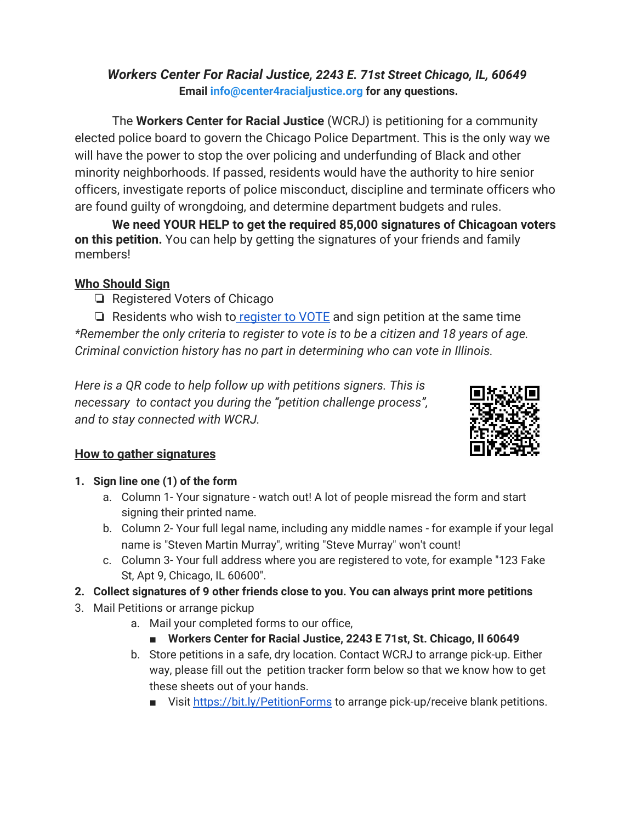### *Workers Center For Racial Justice, 2243 E. 71st Street Chicago, IL, 60649* **Email info@center4racialjustice.org for any questions.**

The **Workers Center for Racial Justice** (WCRJ) is petitioning for a community elected police board to govern the Chicago Police Department. This is the only way we will have the power to stop the over policing and underfunding of Black and other minority neighborhoods. If passed, residents would have the authority to hire senior officers, investigate reports of police misconduct, discipline and terminate officers who are found guilty of wrongdoing, and determine department budgets and rules.

**We need YOUR HELP to get the required 85,000 signatures of Chicagoan voters on this petition.** You can help by getting the signatures of your friends and family members!

# **Who Should Sign**

❏ Registered Voters of Chicago

 $\Box$  Residents who wish to register to VOTE and sign petition at the same time *\*Remember the only criteria to register to vote is to be a citizen and 18 years of age. Criminal conviction history has no part in determining who can vote in Illinois.*

*Here is a QR code to help follow up with petitions signers. This is necessary to contact you during the "petition challenge process", and to stay connected with WCRJ.*



# **How to gather signatures**

- **1. Sign line one (1) of the form**
	- a. Column 1- Your signature watch out! A lot of people misread the form and start signing their printed name.
	- b. Column 2- Your full legal name, including any middle names for example if your legal name is "Steven Martin Murray", writing "Steve Murray" won't count!
	- c. Column 3- Your full address where you are registered to vote, for example "123 Fake St, Apt 9, Chicago, IL 60600".
- **2. Collect signatures of 9 other friends close to you. You can always print more petitions**
- 3. Mail Petitions or arrange pickup
	- a. Mail your completed forms to our office,
		- **Workers Center for Racial Justice, 2243 E 71st, St. Chicago, Il 60649**
	- b. Store petitions in a safe, dry location. Contact WCRJ to arrange pick-up. Either way, please fill out the petition tracker form below so that we know how to get these sheets out of your hands.
		- Visit https://bit.ly/PetitionForms to arrange pick-up/receive blank petitions.